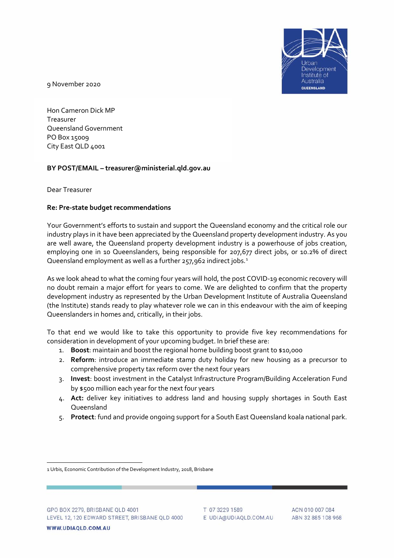

9 November 2020

Hon Cameron Dick MP Treasurer Queensland Government PO Box 15009 City East QLD 4001

#### **BY POST/EMAIL – treasurer@ministerial.qld.gov.au**

Dear Treasurer

#### **Re: Pre-state budget recommendations**

Your Government's efforts to sustain and support the Queensland economy and the critical role our industry plays in it have been appreciated by the Queensland property development industry. As you are well aware, the Queensland property development industry is a powerhouse of jobs creation, employing one in 10 Queenslanders, being responsible for 207,677 direct jobs, or 10.2% of direct Queensland employment as well as a further 257,962 indirect jobs.<sup>[1](#page-0-0)</sup>

As we look ahead to what the coming four years will hold, the post COVID-19 economic recovery will no doubt remain a major effort for years to come. We are delighted to confirm that the property development industry as represented by the Urban Development Institute of Australia Queensland (the Institute) stands ready to play whatever role we can in this endeavour with the aim of keeping Queenslanders in homes and, critically, in their jobs.

To that end we would like to take this opportunity to provide five key recommendations for consideration in development of your upcoming budget. In brief these are:

- 1. **Boost**: maintain and boost the regional home building boost grant to \$10,000
- 2. **Reform**: introduce an immediate stamp duty holiday for new housing as a precursor to comprehensive property tax reform over the next four years
- 3. **Invest**: boost investment in the Catalyst Infrastructure Program/Building Acceleration Fund by \$500 million each year for the next four years
- 4. **Act:** deliver key initiatives to address land and housing supply shortages in South East Queensland
- 5. **Protect**: fund and provide ongoing support for a South East Queensland koala national park.

<span id="page-0-0"></span><sup>1</sup> Urbis, Economic Contribution of the Development Industry, 2018, Brisbane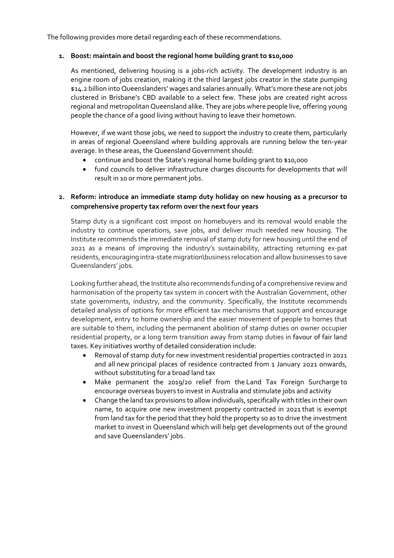The following provides more detail regarding each of these recommendations.

# **1. Boost: maintain and boost the regional home building grant to \$10,000**

As mentioned, delivering housing is a jobs-rich activity. The development industry is an engine room of jobs creation, making it the third largest jobs creator in the state pumping \$14.2 billion into Queenslanders' wages and salaries annually. What's more these are not jobs clustered in Brisbane's CBD available to a select few. These jobs are created right across regional and metropolitan Queensland alike. They are jobs where people live, offering young people the chance of a good living without having to leave their hometown.

However, if we want those jobs, we need to support the industry to create them, particularly in areas of regional Queensland where building approvals are running below the ten-year average. In these areas, the Queensland Government should:

- continue and boost the State's regional home building grant to \$10,000
- fund councils to deliver infrastructure charges discounts for developments that will result in 10 or more permanent jobs.

# **2. Reform: introduce an immediate stamp duty holiday on new housing as a precursor to comprehensive property tax reform over the next four years**

Stamp duty is a significant cost impost on homebuyers and its removal would enable the industry to continue operations, save jobs, and deliver much needed new housing. The Institute recommends the immediate removal of stamp duty for new housing until the end of 2021 as a means of improving the industry's sustainability, attracting returning ex-pat residents, encouraging intra-state migration\business relocation and allow businesses to save Queenslanders' jobs.

Looking further ahead, the Institute also recommends funding of a comprehensive review and harmonisation of the property tax system in concert with the Australian Government, other state governments, industry, and the community. Specifically, the Institute recommends detailed analysis of options for more efficient tax mechanisms that support and encourage development, entry to home ownership and the easier movement of people to homes that are suitable to them, including the permanent abolition of stamp duties on owner occupier residential property, or a long term transition away from stamp duties in favour of fair land taxes. Key initiatives worthy of detailed consideration include:

- Removal of stamp duty for new investment residential properties contracted in 2021 and all new principal places of residence contracted from 1 January 2021 onwards, without substituting for a broad land tax
- Make permanent the 2019/20 relief from the Land Tax Foreign Surcharge to encourage overseas buyers to invest in Australia and stimulate jobs and activity
- Change the land tax provisions to allow individuals, specifically with titles in their own name, to acquire one new investment property contracted in 2021 that is exempt from land tax for the period that they hold the property so as to drive the investment market to invest in Queensland which will help get developments out of the ground and save Queenslanders' jobs.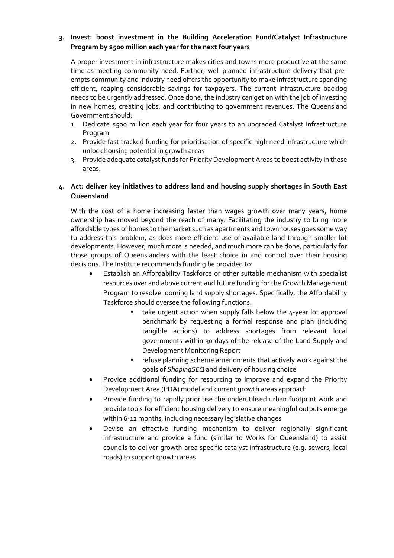# **3. Invest: boost investment in the Building Acceleration Fund/Catalyst Infrastructure Program by \$500 million each year for the next four years**

A proper investment in infrastructure makes cities and towns more productive at the same time as meeting community need. Further, well planned infrastructure delivery that preempts community and industry need offers the opportunity to make infrastructure spending efficient, reaping considerable savings for taxpayers. The current infrastructure backlog needs to be urgently addressed. Once done, the industry can get on with the job of investing in new homes, creating jobs, and contributing to government revenues. The Queensland Government should:

- 1. Dedicate \$500 million each year for four years to an upgraded Catalyst Infrastructure Program
- 2. Provide fast tracked funding for prioritisation of specific high need infrastructure which unlock housing potential in growth areas
- 3. Provide adequate catalyst funds for Priority Development Areas to boost activity in these areas.

# **4. Act: deliver key initiatives to address land and housing supply shortages in South East Queensland**

With the cost of a home increasing faster than wages growth over many years, home ownership has moved beyond the reach of many. Facilitating the industry to bring more affordable types of homes to the market such as apartments and townhouses goes some way to address this problem, as does more efficient use of available land through smaller lot developments. However, much more is needed, and much more can be done, particularly for those groups of Queenslanders with the least choice in and control over their housing decisions. The Institute recommends funding be provided to:

- Establish an Affordability Taskforce or other suitable mechanism with specialist resources over and above current and future funding for the Growth Management Program to resolve looming land supply shortages. Specifically, the Affordability Taskforce should oversee the following functions:
	- take urgent action when supply falls below the 4-year lot approval benchmark by requesting a formal response and plan (including tangible actions) to address shortages from relevant local governments within 30 days of the release of the Land Supply and Development Monitoring Report
	- refuse planning scheme amendments that actively work against the goals of *ShapingSEQ* and delivery of housing choice
- Provide additional funding for resourcing to improve and expand the Priority Development Area (PDA) model and current growth areas approach
- Provide funding to rapidly prioritise the underutilised urban footprint work and provide tools for efficient housing delivery to ensure meaningful outputs emerge within 6-12 months, including necessary legislative changes
- Devise an effective funding mechanism to deliver regionally significant infrastructure and provide a fund (similar to Works for Queensland) to assist councils to deliver growth-area specific catalyst infrastructure (e.g. sewers, local roads) to support growth areas